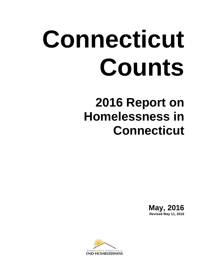# **Connecticut Counts**

## **2016 Report on Homelessness in Connecticut**

**May, 2016 Revised May 11, 2016**

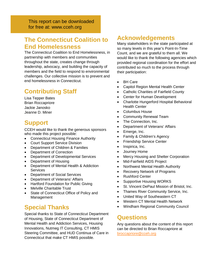This report can be downloaded for free at: www.cceh.org

## **The Connecticut Coalition to End Homelessness**

The Connecticut Coalition to End Homelessness, in partnership with members and communities throughout the state, creates change through leadership, advocacy, and building the capacity of members and the field to respond to environmental challenges. Our collective mission is to prevent and end homelessness in Connecticut.

## **Contributing Staff**

Lisa Tepper Bates Brian Roccapriore Jackie Janosko Jeanne D. Miner

## **Support**

CCEH would like to thank the generous sponsors who made this project possible:

- Connecticut Housing Finance Authority
- **Court Support Service Division**
- Department of Children & Families
- Department of Correction
- Department of Developmental Services
- Department of Housing
- Department of Mental Health & Addiction Services
- Department of Social Services
- Department of Veterans' Affairs
- Hartford Foundation for Public Giving
- Melville Charitable Trust
- State of Connecticut Office of Policy and Management

## **Special Thanks**

Special thanks to State of Connecticut Department of Housing, State of Connecticut Department of Mental Health and Addiction Services, Housing Innovations, Nutmeg IT Consulting, CT HMIS Steering Committee, and HUD Continua of Care in Connecticut that make CT HMIS possible.

## **Acknowledgements**

Many stakeholders in the state participated at so many levels in this year's Point-In-Time Count, and we are grateful to them all. We would like to thank the following agencies which provided regional coordination for the effort and contributed so much to the process through their participation:

- BH Care
- Capitol Region Mental Health Center
- Catholic Charities of Fairfield County
- Center for Human Development
- Charlotte Hungerford Hospital Behavioral Health Center
- Columbus House
- Community Renewal Team
- The Connection, Inc.
- Department of Veterans' Affairs
- Emerge, Inc.
- Family & Children's Agency
- Friendship Service Center
- Inspirica, Inc.
- Journey Home
- Mercy Housing and Shelter Corporation
- Mid-Fairfield AIDS Project
- Northwest Mental Health Authority
- Recovery Network of Programs
- Rushford Center
- Supportive Housing WORKS
- St. Vincent DePaul Mission of Bristol, Inc.
- Thames River Community Service, Inc.
- United Way of Southeastern CT
- Western CT Mental Health Network
- Windham Regional Community Council

## **Questions**

Any questions about the content of this report can be directed to Brian Roccapriore at [broccapriore@cceh.org](mailto:broccapriore@cceh.org)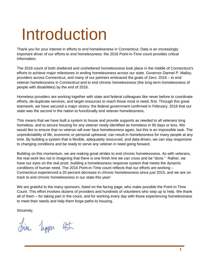## <span id="page-2-0"></span>Introduction

Thank you for your interest in efforts to end homelessness in Connecticut. Data is an increasingly important driver of our efforts to end homelessness: the 2016 Point-in-Time count provides critical information.

The 2016 count of both sheltered and unsheltered homelessness took place in the middle of Connecticut's efforts to achieve major milestones in ending homelessness across our state. Governor Dannel P. Malloy, providers across Connecticut, and many of our partners embraced the goals of Zero: 2016 – to end veteran homelessness in Connecticut and to end chronic homelessness (the long-term homelessness of people with disabilities) by the end of 2016.

Homeless providers are working together with state and federal colleagues like never before to coordinate efforts, de-duplicate services, and target resources to reach those most in need, first. Through this great teamwork, we have secured a major victory: the federal government confirmed in February, 2016 that our state was the second in the nation to functionally end veteran homelessness.

This means that we have built a system to house and provide supports as needed to all veterans long homeless, and to secure housing for any veteran newly identified as homeless in 90 days or less. We would like to ensure that no veteran will ever face homelessness again, but this is an impossible task. The unpredictability of life, economic or personal upheaval, can result in homelessness for many people at any time. By building a system that is flexible, adequately resourced, and data-driven, we can stay responsive to changing conditions and be ready to serve any veteran in need going forward.

Building on this momentum, we are making great strides to end chronic homelessness. As with veterans, the real work lies not in imagining that there is one finish line we can cross and be "done." Rather, we have our eyes on the real prize: building a homelessness response system that meets the dynamic conditions of human need. The 2016 Point-in-Time count reflects that our efforts are working -Connecticut experienced a 20 percent decrease in chronic homelessness since just 2015, and we are on track to end chronic homelessness in our state this year!

We are grateful to the many sponsors, listed on the facing page, who make possible the Point-in-Time Count. This effort involves dozens of providers and hundreds of volunteers who step up to help. We thank all of them – for taking part in the count, and for working every day with those experiencing homelessness to meet their needs and help them forge paths to housing.

Sincerely,

hin hoppen Bt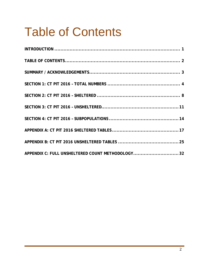## <span id="page-3-0"></span>Table of Contents

| APPENDIX C: FULL UNSHELTERED COUNT METHODOLOGY32 |  |
|--------------------------------------------------|--|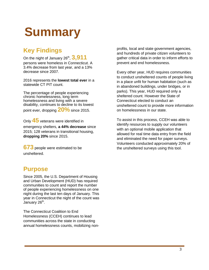## <span id="page-4-0"></span>**Summary**

## **Key Findings**

On the night of January 26<sup>th</sup>, **3,911** persons were homeless in Connecticut. A 3.4% decrease from last year, and a 13% decrease since 2007.

2016 represents the **lowest total ever** in a statewide CT PIT count.

The percentage of people experiencing chronic homelessness, long term homelessness and living with a severe disability, continues to decline to its lowest point ever, dropping **20%** since 2015.

Only **45** veterans were identified in emergency shelters, **a 44% decrease** since 2015; 128 veterans in transitional housing, **dropping 20%** since 2015.

**673** people were estimated to be unsheltered.

## **Purpose**

Since 2005, the U.S. Department of Housing and Urban Development (HUD) has required communities to count and report the number of people experiencing homelessness on one night during the last ten days of January. This year in Connecticut the night of the count was January 26<sup>th</sup>.

The Connecticut Coalition to End Homelessness (CCEH) continues to lead communities across the state in conducting annual homelessness counts, mobilizing nonprofits, local and state government agencies, and hundreds of private citizen volunteers to gather critical data in order to inform efforts to prevent and end homelessness.

Every other year, HUD requires communities to conduct unsheltered counts of people living in a place unfit for human habitation (such as in abandoned buildings, under bridges, or in parks). This year, HUD required only a sheltered count. However the State of Connecticut elected to conduct an unsheltered count to provide more information on homelessness in our state.

To assist in this process, CCEH was able to identify resources to supply our volunteers with an optional mobile application that allowed for real time data entry from the field and eliminated the need for paper surveys. Volunteers conducted approximately 20% of the unsheltered surveys using this tool.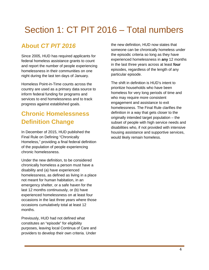## <span id="page-5-0"></span>Section 1: CT PIT 2016 – Total numbers

## **About** *CT PIT 2016*

Since 2005, HUD has required applicants for federal homeless assistance grants to count and report the number of people experiencing homelessness in their communities on one night during the last ten days of January.

Homeless Point-in-Time counts across the country are used as a primary data source to inform federal funding for programs and services to end homelessness and to track progress against established goals.

## **Chronic Homelessness Definition Change**

In December of 2015, HUD published the Final Rule on Defining "Chronically Homeless," providing a final federal definition of the population of people experiencing chronic homelessness.

Under the new definition, to be considered chronically homeless a person must have a disability and (a) have experienced homelessness, as defined as living in a place not meant for human habitation, in an emergency shelter, or a safe haven for the last 12 months continuously, or (b) have experienced homelessness on at least four occasions in the last three years where those occasions cumulatively total at least 12 months.

Previously, HUD had not defined what constitutes an "episode" for eligibility purposes, leaving local Continua of Care and providers to develop their own criteria. Under

the new definition, HUD now states that someone can be chronically homeless under the episodic criteria so long as they have experienced homelessness in **any** 12 months in the last three years across at least **four**  episodes, regardless of the length of any particular episode.

The shift in definition is HUD's intent to prioritize households who have been homeless for very long periods of time and who may require more consistent engagement and assistance to exit homelessness. The Final Rule clarifies the definition in a way that gets closer to the originally intended target population – the subset of people with high service needs and disabilities who, if not provided with intensive housing assistance and supportive services, would likely remain homeless.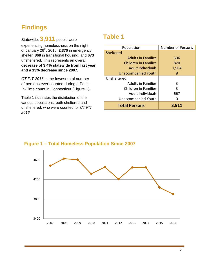## **Findings**

Statewide, **3,911** people were experiencing homelessness on the night of January 26th, 2016: **2,370** in emergency shelter, **868** in transitional housing, and **673** unsheltered. This represents an overall **decrease of 3.4% statewide from last year, and a 13% decrease since 2007**.

*CT PIT 2016* is the lowest total number of persons ever counted during a Point-In-Time count in Connecticut (Figure 1).

Table 1 illustrates the distribution of the various populations, both sheltered and unsheltered, who were counted for *CT PIT 2016.*

## **Table 1**

| Population                  | <b>Number of Persons</b> |
|-----------------------------|--------------------------|
| Sheltered                   |                          |
| <b>Adults in Families</b>   | 506                      |
| <b>Children in Families</b> | 820                      |
| <b>Adult Individuals</b>    | 1,904                    |
| <b>Unaccompanied Youth</b>  | 8                        |
| Unsheltered                 |                          |
| <b>Adults in Families</b>   | 3                        |
| <b>Children in Families</b> | 3                        |
| <b>Adult Individuals</b>    | 667                      |
| <b>Unaccompanied Youth</b>  |                          |
| <b>Total Persons</b>        | 3,911                    |



### **Figure 1 – Total Homeless Population Since 2007**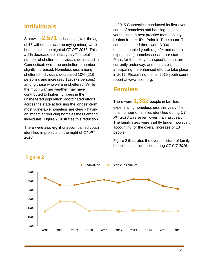### **Individuals**

Statewide **2,571** individuals (over the age of 18 without an accompanying minor) were homeless on the night of *CT PIT 2016*. This is a 5% decrease from last year. The total number of sheltered individuals decreased in Connecticut, while the unsheltered number slightly increased. Homelessness among sheltered individuals decreased 10% (218 persons), and increased 12% (72 persons) among those who were unsheltered. While the much warmer weather may have contributed to higher numbers in the unsheltered population, coordinated efforts across the state at housing the longest-term, most vulnerable homeless are clearly having an impact at reducing homelessness among individuals. Figure 2 illustrates this reduction.

There were also **eight** unaccompanied youth identified in projects on the night of *CT PIT 2016*.

In 2015 Connecticut conducted its first-ever count of homeless and housing unstable youth, using a best practice methodology distinct from HUD's Point-in-Time count. That count estimated there were 3,000 unaccompanied youth (age 24 and under) experiencing homelessness in our state. Plans for the next youth-specific count are currently underway, and the state is anticipating the enhanced effort to take place in 2017. Please find the full 2015 youth count report at www.cceh.org.

## **Families**

There were **1,332** people in families experiencing homelessness this year. The total number of families identified during *CT PIT 2016* was seven lower than last year. The family sizes were slightly larger, however, accounting for the overall increase of 13 people.

Figure 2 illustrates the overall picture of family homelessness identified during *CT PIT 2016*.



#### **Figure 2**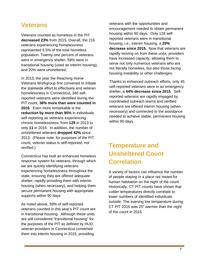## **Veterans**

Veterans counted as homeless in the PIT **decreased 23%** from 2015. Overall, the 216 veterans experiencing homelessness represented 5.5% of the total homeless population. Twenty-one percent of veterans were in emergency shelter, 59% were in transitional housing (used as interim housing), and 20% were unsheltered.

In 2013, the year the Reaching Home Veterans Workgroup first convened to initiate the statewide effort to effectively end veteran homelessness in Connecticut, 340 selfreported veterans were identified during the PIT count, **36% more than were counted in 2016**. Even more remarkable is the **reduction by more than 90%** in individuals self-reporting as veterans experiencing chronic homelessness, from **129** in 2013 to only **11** in 2016. In addition, the number of unsheltered veterans **dropped 42%** since 2013. (Please note: for purposes of the PIT count, veteran status is self-reported, not verified.)

Connecticut has built an enhanced homeless response system for veterans, through which we are quickly identifying veterans experiencing homelessness throughout the state, ensuring they are offered adequate shelter, rapidly providing them with interim housing (when necessary), and helping them secure permanent housing with appropriate supports within 90 days.

As noted above, 59% of self-reported veterans counted in this year's PIT count are in transitional housing. Although these units are still considered "transitional housing" for the purposes of the PIT as defined by HUD, veteran providers in Connecticut converted them into interim housing in 2015, providing

veterans with the opportunities and encouragement needed to obtain permanent housing within 90 days. Only 128 selfreported veterans were in transitional housing, i.e., interim housing, a **20% decrease since 2015.** Now that veterans are rapidly moving on from these units, providers have increased capacity, allowing them to serve not only numerous veterans who are not literally homeless, but also those facing housing instability or other challenges.

Thanks to enhanced outreach efforts, only 45 self-reported veterans were in an emergency shelter, a **44% decrease since 2015**. Selfreported veterans are rapidly engaged by coordinated outreach teams and verified veterans are offered interim housing (when necessary) and connected to the assistance needed to achieve stable, permanent housing within 90 days.

## **Temperature and Unsheltered Count Correlation**

A variety of factors can influence the number of people staying in a place not meant for human habitation on the night of the count. Historically, CT PIT counts have shown that colder temperatures directly correlate to lower numbers of identified individuals outside. The evening low temperature during CT PIT 2016 was 25° warmer than the night of the count in 2015.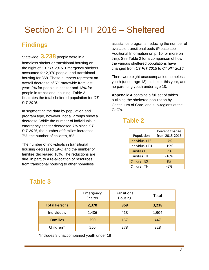## <span id="page-9-0"></span>Section 2: CT PIT 2016 – Sheltered

## **Findings**

Statewide, **3,238** people were in a homeless shelter or transitional housing on the night of *CT PIT 2016*. Emergency shelters accounted for 2,370 people, and transitional housing for 868. These numbers represent an overall decrease of 5% statewide from last year: 2% for people in shelter and 13% for people in transitional housing. Table 3 illustrates the total sheltered population for *CT PIT 2016*.

In segmenting the data by population and program type, however, not all groups show a decrease. While the number of individuals in emergency shelter decreased 7% since *CT PIT 2015*, the number of families increased 7%, the number of children, 8%.

The number of individuals in transitional housing decreased 19%; and the number of families decreased 10%. The reductions are due, in part, to a re-allocation of resources from transitional housing to other homeless

assistance programs, reducing the number of available transitional beds (Please see Additional Information on p. 10 for more on this). See Table 2 for a comparison of how the various sheltered populations have changed from *CT PIT 2015* to *CT PIT 2016*.

There were eight unaccompanied homeless youth (under age 18) in shelter this year, and no parenting youth under age 18.

**Appendix A** contains a full set of tables outlining the sheltered population by Continuum of Care, and sub-regions of the CoC's.

## **Table 2**

|                       | Percent Change |
|-----------------------|----------------|
| Population            | from 2015-2016 |
| <b>Individuals ES</b> | $-7%$          |
| Individuals TH        | $-19%$         |
| <b>Families ES</b>    | 7%             |
| <b>Families TH</b>    | $-10%$         |
| <b>Children ES</b>    | 8%             |
| Children TH           | -6%            |

## **Table 3**

|                      | Emergency<br>Shelter | Transitional<br>Housing | Total |
|----------------------|----------------------|-------------------------|-------|
| <b>Total Persons</b> | 2,370                | 868                     | 3,238 |
| Individuals          | 1,486                | 418                     | 1,904 |
| <b>Families</b>      | 290                  | 157                     | 447   |
| Children*            | 550                  | 278                     | 828   |

\*Includes 8 unaccompanied youth under 18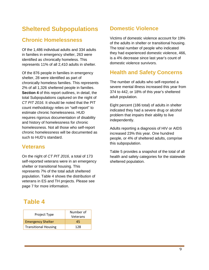## **Sheltered Subpopulations**

### **Chronic Homelessness**

Of the 1,486 individual adults and 334 adults in families in emergency shelter, 263 were identified as chronically homeless. This represents 11% of all 2,410 adults in shelter.

Of the 876 people in families in emergency shelter, 28 were identified as part of chronically homeless families. This represents 2% of all 1,326 sheltered people in families. **Section 4** of this report outlines, in detail, the total Subpopulations captured on the night of *CT PIT 2016*. It should be noted that the PIT count methodology relies on "self-report" to estimate chronic homelessness. HUD requires rigorous documentation of disability and history of homelessness for chronic homelessness. Not all those who self-report chronic homelessness will be documented as such to HUD's standard.

### **Veterans**

On the night of *CT PIT 2016*, a total of 173 self-reported veterans were in an emergency shelter or transitional housing. This represents 7% of the total adult sheltered population. Table 4 shows the distribution of veterans in ES and TH projects. Please see page 7 for more information.

## **Domestic Violence**

Victims of domestic violence account for 19% of the adults in shelter or transitional housing. The total number of people who indicated they had experienced domestic violence, 466, is a 4% decrease since last year's count of domestic violence survivors.

## **Health and Safety Concerns**

The number of adults who self-reported a severe mental illness increased this year from 374 to 442, or 18% of this year's sheltered adult population.

Eight percent (186 total) of adults in shelter indicated they had a severe drug or alcohol problem that impairs their ability to live independently.

Adults reporting a diagnosis of HIV or AIDS increased 23% this year. One hundred people, or 4% of sheltered adults, comprise this subpopulation.

Table 5 provides a snapshot of the total of all health and safety categories for the statewide sheltered population.

## **Table 4**

| Project Type                | Number of<br>Veterans |
|-----------------------------|-----------------------|
| <b>Emergency Shelter</b>    | 45                    |
| <b>Transitional Housing</b> | 128                   |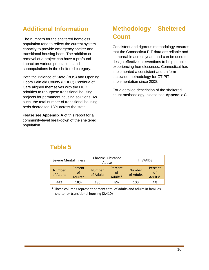## **Additional Information**

The numbers for the sheltered homeless population tend to reflect the current system capacity to provide emergency shelter and transitional housing beds. The addition or removal of a project can have a profound impact on various populations and subpopulations in the sheltered category.

Both the Balance of State (BOS) and Opening Doors Fairfield County (ODFC) Continua of Care aligned themselves with the HUD priorities to repurpose transitional housing projects for permanent housing solutions. As such, the total number of transitional housing beds decreased 13% across the state.

Please see **Appendix A** of this report for a community-level breakdown of the sheltered population.

## **Methodology – Sheltered Count**

Consistent and rigorous methodology ensures that the Connecticut PIT data are reliable and comparable across years and can be used to design effective interventions to help people experiencing homelessness. Connecticut has implemented a consistent and uniform statewide methodology for CT PIT implementation since 2008.

For a detailed description of the sheltered count methodology, please see **Appendix C**.

## **Table 5**

| Severe Mental Illness      |                          | <b>Chronic Substance</b><br>Abuse |                          | HIV/AIDS                   |                                |
|----------------------------|--------------------------|-----------------------------------|--------------------------|----------------------------|--------------------------------|
| <b>Number</b><br>of Adults | Percent<br>of<br>Adults* | <b>Number</b><br>of Adults        | Percent<br>of<br>Adults* | <b>Number</b><br>of Adults | Percent<br>$\alpha$<br>Adults* |
| 442                        | 18%                      | 186                               | 8%                       | 100                        | 4%                             |

\* These columns represent percent total of adults and adults in families in shelter or transitional housing (2,410)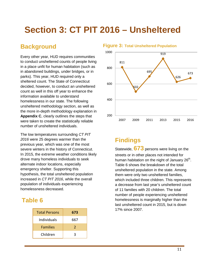## <span id="page-12-0"></span>**Section 3: CT PIT 2016 – Unsheltered**

## **Background**

Every other year, HUD requires communities to conduct unsheltered counts of people living in a place unfit for human habitation (such as in abandoned buildings, under bridges, or in parks). This year, HUD required only a sheltered count. The State of Connecticut decided, however, to conduct an unsheltered count as well in this off year to enhance the information available to understand homelessness in our state. The following unsheltered methodology section, as well as the more in-depth methodology explanation in **Appendix C**, clearly outlines the steps that were taken to create the statistically reliable number of unsheltered individuals.

The low temperatures surrounding *CT PIT 2016* were 25 degrees warmer than the previous year, which was one of the most severe winters in the history of Connecticut. In 2015, the extreme weather conditions likely drove many homeless individuals to seek alternate indoor locations, especially emergency shelter. Supporting this hypothesis, the total unsheltered population increased in *CT PIT 2016*, while the overall population of individuals experiencing homelessness decreased.

## **Table 6**

| <b>Total Persons</b> | 673           |
|----------------------|---------------|
| <b>Individuals</b>   | 667           |
| <b>Families</b>      | $\mathcal{P}$ |
| Children             | R             |

#### **Figure 3: Total Unsheltered Population**



## **Findings**

Statewide, **673** persons were living on the streets or in other places not intended for human habitation on the night of January  $26<sup>th</sup>$ . Table 6 shows the breakdown of the total unsheltered population in the state. Among them were only two unsheltered families, which included three children. This represents a decrease from last year's unsheltered count of 11 families with 20 children. The total number of people experiencing unsheltered homelessness is marginally higher than the last unsheltered count in 2015, but is down 17% since 2007.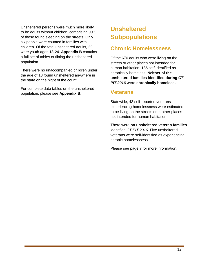Unsheltered persons were much more likely to be adults without children, comprising 99% of those found sleeping on the streets. Only six people were counted in families with children. Of the total unsheltered adults, 22 were youth ages 18-24. **Appendix B** contains a full set of tables outlining the unsheltered population.

There were no unaccompanied children under the age of 18 found unsheltered anywhere in the state on the night of the count.

For complete data tables on the unsheltered population, please see **Appendix B**.

## **Unsheltered Subpopulations**

## **Chronic Homelessness**

Of the 670 adults who were living on the streets or other places not intended for human habitation, 185 self-identified as chronically homeless. **Neither of the unsheltered families identified during** *CT PIT 2016* **were chronically homeless.**

### **Veterans**

Statewide, 43 self-reported veterans experiencing homelessness were estimated to be living on the streets or in other places not intended for human habitation.

There were **no unsheltered veteran families** identified *CT PIT 2016*. Five unsheltered veterans were self-identified as experiencing chronic homelessness.

Please see page 7 for more information.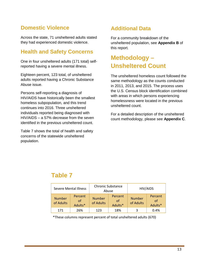## **Domestic Violence**

Across the state, 71 unsheltered adults stated they had experienced domestic violence.

## **Health and Safety Concerns**

One in four unsheltered adults (171 total) selfreported having a severe mental illness.

Eighteen percent, 123 total, of unsheltered adults reported having a Chronic Substance Abuse issue.

Persons self-reporting a diagnosis of HIV/AIDS have historically been the smallest homeless subpopulation, and this trend continues into 2016. Three unsheltered individuals reported being diagnosed with HIV/AIDS – a 57% decrease from the seven identified in the previous unsheltered count.

Table 7 shows the total of health and safety concerns of the statewide unsheltered population.

## **Additional Data**

For a community breakdown of the unsheltered population, see **Appendix B** of this report.

## **Methodology – Unsheltered Count**

The unsheltered homeless count followed the same methodology as the counts conducted in 2011, 2013, and 2015. The process uses the U.S. Census block identification combined with areas in which persons experiencing homelessness were located in the previous unsheltered count.

For a detailed description of the unsheltered count methodology, please see **Appendix C**.

## **Table 7**

| <b>Severe Mental Illness</b> |                          | <b>Chronic Substance</b><br>Abuse |                          | HIV/AIDS                   |                                  |
|------------------------------|--------------------------|-----------------------------------|--------------------------|----------------------------|----------------------------------|
| <b>Number</b><br>of Adults   | Percent<br>of<br>Adults* | <b>Number</b><br>of Adults        | Percent<br>of<br>Adults* | <b>Number</b><br>of Adults | Percent<br>$\alpha$ f<br>Adults* |
| 171                          | 26%                      | 123                               | 18%                      |                            | 0.4%                             |

\*These columns represent percent of total unsheltered adults (670)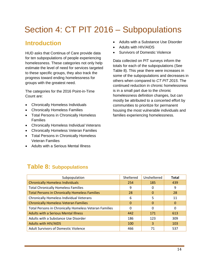## <span id="page-15-0"></span>Section 4: CT PIT 2016 – Subpopulations

## **Introduction**

HUD asks that Continua of Care provide data for ten subpopulations of people experiencing homelessness. These categories not only help estimate the level of need for services targeted to these specific groups, they also track the progress toward ending homelessness for groups with the greatest need.

The categories for the 2016 Point-in-Time Count are:

- Chronically Homeless Individuals
- Chronically Homeless Families
- Total Persons in Chronically Homeless Families
- Chronically Homeless Individual Veterans
- Chronically Homeless Veteran Families
- Total Persons in Chronically Homeless Veteran Families
- Adults with a Serious Mental Illness
- Adults with a Substance Use Disorder
- Adults with HIV/AIDS
- Survivors of Domestic Violence

Data collected on PIT surveys inform the totals for each of the subpopulations (See Table 8). This year there were increases in some of the subpopulations and decreases in others when compared to *CT PIT 2015*. The continued reduction in chronic homelessness is in a small part due to the chronic homelessness definition changes, but can mostly be attributed to a concerted effort by communities to prioritize for permanent housing the most vulnerable individuals and families experiencing homelessness.

## **Table 8: Subpopulations**

| Subpopulation                                          | Sheltered | Unsheltered | <b>Total</b> |
|--------------------------------------------------------|-----------|-------------|--------------|
| <b>Chronically Homeless Individuals</b>                | 254       | 185         | 439          |
| <b>Total Chronically Homeless Families</b>             | 9         | 0           | 9            |
| <b>Total Persons in Chronically Homeless Families</b>  | 28        | $\Omega$    | 28           |
| Chronically Homeless Individual Veterans               | 6         | 5           | 11           |
| <b>Chronically Homeless Veteran Families</b>           | $\Omega$  | $\Omega$    | $\Omega$     |
| Total Persons in Chronically Homeless Veteran Families | 0         | 0           | 0            |
| <b>Adults with a Serious Mental Illness</b>            | 442       | 171         | 613          |
| Adults with a Substance Use Disorder                   | 186       | 123         | 309          |
| <b>Adults with HIV/AIDS</b>                            | 100       | 3           | 103          |
| <b>Adult Survivors of Domestic Violence</b>            | 466       | 71          | 537          |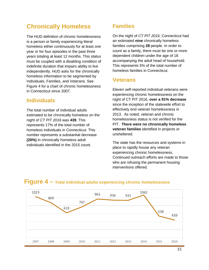## **Chronically Homeless**

The HUD definition of chronic homelessness is a person or family experiencing literal homeless either continuously for at least one year or for four episodes in the past three years totaling at least 12 months. This status must be coupled with a disabling condition of indefinite duration that impairs ability to live independently. HUD asks for the chronically homeless information to be segmented by Individuals, Families, and Veterans. See Figure 4 for a chart of chronic homelessness in Connecticut since 2007.

#### **Individuals**

The total number of individual adults estimated to be chronically homeless on the night *of CT PIT 2016* was **439**. This represents 17% of the total number of homeless individuals in Connecticut. This number represents a substantial decrease **(20%)** in chronically homeless adult individuals identified in the 2015 count.

### **Families**

On the night of *CT PIT 2016*, Connecticut had an estimated **nine** chronically homeless families comprising **28** people. In order to count as a family, there must be one or more dependent children under the age of 18 accompanying the adult head of household. This represents 5% of the total number of homeless families in Connecticut.

#### **Veterans**

Eleven self-reported individual veterans were experiencing chronic homelessness on the night of CT PIT 2016, **over a 91% decrease** since the inception of the statewide effort to effectively end veteran homelessness in 2013. As noted, veteran and chronic homelessness status is not verified for the PIT. **There were no chronically homeless veteran families** identified in projects or unsheltered.

The state has the resources and systems in place to rapidly house any veteran experiencing chronic homelessness. Continued outreach efforts are made to those who are refusing the permanent housing interventions offered.



#### **Figure 4 – Total individual adults experiencing chronic homelessness**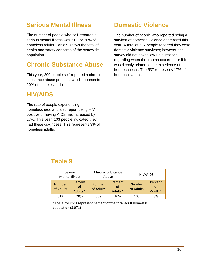## **Serious Mental Illness**

The number of people who self-reported a serious mental illness was 613, or 20% of homeless adults. Table 9 shows the total of health and safety concerns of the statewide population.

## **Chronic Substance Abuse**

This year, 309 people self-reported a chronic substance abuse problem, which represents 10% of homeless adults.

### **HIV/AIDS**

The rate of people experiencing homelessness who also report being HIV positive or having AIDS has increased by 17%. This year, 103 people indicated they had these diagnoses. This represents 3% of homeless adults.

## **Domestic Violence**

The number of people who reported being a survivor of domestic violence decreased this year. A total of 537 people reported they were domestic violence survivors; however, the survey did not ask follow-up questions regarding when the trauma occurred, or if it was directly related to the experience of homelessness. The 537 represents 17% of homeless adults.

## **Table 9**

|                            | Severe<br><b>Mental Illness</b> |                            | <b>Chronic Substance</b><br>Abuse |                            | HIV/AIDS                 |
|----------------------------|---------------------------------|----------------------------|-----------------------------------|----------------------------|--------------------------|
| <b>Number</b><br>of Adults | Percent<br>of<br>Adults*        | <b>Number</b><br>of Adults | Percent<br>of<br>Adults*          | <b>Number</b><br>of Adults | Percent<br>of<br>Adults* |
| 613                        | 20%                             | 309                        | 10%                               | 103                        | 3%                       |

\*These columns represent percent of the total adult homeless population (3,071)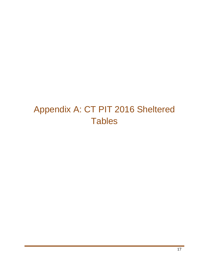## <span id="page-18-0"></span>Appendix A: CT PIT 2016 Sheltered **Tables**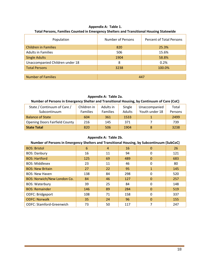| Appendix A: Table 1.                                                                     |
|------------------------------------------------------------------------------------------|
| Total Persons, Families Counted in Emergency Shelters and Transitional Housing Statewide |

| Population                      | <b>Number of Persons</b> | Percent of Total Persons |  |
|---------------------------------|--------------------------|--------------------------|--|
| <b>Children in Families</b>     | 820                      | 25.3%                    |  |
| <b>Adults in Families</b>       | 506                      | 15.6%                    |  |
| <b>Single Adults</b>            | 1904                     | 58.8%                    |  |
| Unaccompanied Children under 18 | 8                        | 0.2%                     |  |
| <b>Total Persons</b>            | 3238                     | 100.0%                   |  |
|                                 |                          |                          |  |
| <b>Number of Families</b>       | 447                      |                          |  |

#### **Appendix A: Table 2a.**

#### **Number of Persons in Emergency Shelter and Transitional Housing, by Continuum of Care (CoC)**

| State / Continuum of Care /           | Children in     | Adults in       | Single | Unaccompanied  | Total   |
|---------------------------------------|-----------------|-----------------|--------|----------------|---------|
| Subcontinuum                          | <b>Families</b> | <b>Families</b> | Adults | Youth under 18 | Persons |
| <b>Balance of State</b>               | 604             | 361             | 1533   |                | 2499    |
| <b>Opening Doors Fairfield County</b> | 216             | 145             | 371    |                | 739     |
| <b>State Total</b>                    | 820             | 506             | 1904   |                | 3238    |

#### **Appendix A: Table 2b.**

#### **Number of Persons in Emergency Shelters and Transitional Housing, by Subcontinuum (SubCoC)**

| <b>BOS: Bristol</b>                | 6   | $\overline{4}$ | 16  | $\Omega$     | 26  |
|------------------------------------|-----|----------------|-----|--------------|-----|
| <b>BOS: Danbury</b>                | 16  | 11             | 94  | 0            | 121 |
| <b>BOS: Hartford</b>               | 125 | 69             | 489 | $\Omega$     | 683 |
| <b>BOS: Middlesex</b>              | 23  | 11             | 46  | $\Omega$     | 80  |
| <b>BOS: New Britain</b>            | 27  | 22             | 95  | $\mathbf{1}$ | 145 |
| <b>BOS: New Haven</b>              | 138 | 84             | 298 | $\Omega$     | 520 |
| <b>BOS: Norwich/New London Co.</b> | 84  | 46             | 127 | $\Omega$     | 257 |
| <b>BOS: Waterbury</b>              | 39  | 25             | 84  | $\Omega$     | 148 |
| <b>BOS: Remainder</b>              | 146 | 89             | 284 | $\Omega$     | 519 |
| ODFC: Bridgeport                   | 108 | 71             | 158 | $\Omega$     | 337 |
| <b>ODFC: Norwalk</b>               | 35  | 24             | 96  | $\Omega$     | 155 |
| <b>ODFC: Stamford-Greenwich</b>    | 73  | 50             | 117 |              | 247 |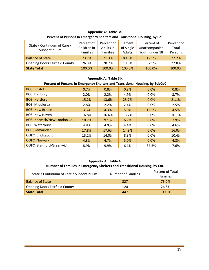#### **Appendix A: Table 3a.**

| State / Continuum of Care /<br>Subcontinuum | Percent of<br>Children in<br><b>Families</b> | Percent of<br>Adults in<br><b>Families</b> | Percent<br>of Single<br>Adults | Percent of<br>Unaccompanied<br>Youth under 18 | Percent of<br>Total<br>Persons |
|---------------------------------------------|----------------------------------------------|--------------------------------------------|--------------------------------|-----------------------------------------------|--------------------------------|
| <b>Balance of State</b>                     | 73.7%                                        | 71.3%                                      | 80.5%                          | 12.5%                                         | 77.2%                          |
| <b>Opening Doors Fairfield County</b>       | 26.3%                                        | 28.7%                                      | 19.5%                          | 87.5%                                         | 22.8%                          |
| <b>State Total</b>                          | 100.0%                                       | 100.0%                                     | 100.0%                         | 100.0%                                        | 100.0%                         |

#### **Percent of Persons in Emergency Shelters and Transitional Housing, by CoC**

#### **Appendix A: Table 3b.**

#### **Percent of Persons in Emergency Shelters and Transitional Housing, by SubCoC**

| <b>BOS: Bristol</b>                | 0.7%  | 0.8%  | 0.8%  | 0.0%    | 0.8%  |
|------------------------------------|-------|-------|-------|---------|-------|
| <b>BOS: Danbury</b>                | 2.0%  | 2.2%  | 4.9%  | $0.0\%$ | 3.7%  |
| <b>BOS: Hartford</b>               | 15.2% | 13.6% | 25.7% | 0.0%    | 21.1% |
| <b>BOS: Middlesex</b>              | 2.8%  | 2.2%  | 2.4%  | 0.0%    | 2.5%  |
| <b>BOS: New Britain</b>            | 3.3%  | 4.3%  | 5.0%  | 12.5%   | 4.5%  |
| <b>BOS: New Haven</b>              | 16.8% | 16.6% | 15.7% | 0.0%    | 16.1% |
| <b>BOS: Norwich/New London Co.</b> | 10.2% | 9.1%  | 6.7%  | 0.0%    | 7.9%  |
| <b>BOS: Waterbury</b>              | 4.8%  | 4.9%  | 4.4%  | 0.0%    | 4.6%  |
| <b>BOS: Remainder</b>              | 17.8% | 17.6% | 14.9% | 0.0%    | 16.0% |
| ODFC: Bridgeport                   | 13.2% | 14.0% | 8.3%  | 0.0%    | 10.4% |
| <b>ODFC: Norwalk</b>               | 4.3%  | 4.7%  | 5.0%  | 0.0%    | 4.8%  |
| <b>ODFC: Stamford-Greenwich</b>    | 8.9%  | 9.9%  | 6.1%  | 87.5%   | 7.6%  |

#### **Appendix A: Table 4. Number of Families in Emergency Shelters and Transitional Housing, by CoC**

| State / Continuum of Care / Subcontinuum | Number of Families | Percent of Total<br><b>Families</b> |
|------------------------------------------|--------------------|-------------------------------------|
| <b>Balance of State</b>                  | 327                | 73.2%                               |
| <b>Opening Doors Fairfield County</b>    | 120                | 26.8%                               |
| <b>State Total</b>                       | 447                | 100.0%                              |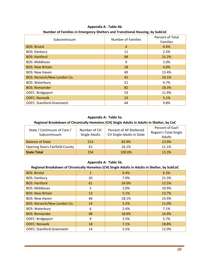| Subcontinuum                       | Number of Families | Percent of Total<br><b>Families</b> |
|------------------------------------|--------------------|-------------------------------------|
| <b>BOS: Bristol</b>                | $\overline{4}$     | 0.9%                                |
| <b>BOS: Danbury</b>                | 11                 | 2.5%                                |
| <b>BOS: Hartford</b>               | 68                 | 15.2%                               |
| <b>BOS: Middlesex</b>              | 9                  | 2.0%                                |
| <b>BOS: New Britain</b>            | 18                 | 4.0%                                |
| <b>BOS: New Haven</b>              | 69                 | 15.4%                               |
| <b>BOS: Norwich/New London Co.</b> | 45                 | 10.1%                               |
| <b>BOS: Waterbury</b>              | 21                 | 4.7%                                |
| <b>BOS: Remainder</b>              | 82                 | 18.3%                               |
| ODFC: Bridgeport                   | 53                 | 11.9%                               |
| <b>ODFC: Norwalk</b>               | 23                 | 5.1%                                |
| <b>ODFC: Stamford-Greenwich</b>    | 44                 | 9.8%                                |

**Appendix A: Table 4b. Number of Families in Emergency Shelters and Transitional Housing, by SubCoC**

#### **Appendix A: Table 5a.**

#### **Regional Breakdown of Chronically Homeless (CH) Single Adults in Adults in Shelter, by CoC**

| State / Continuum of Care /<br>Subcontinuum | Number of CH<br>Single Adults | Percent of All Sheltered<br>CH Single Adults in State | Percent of Each<br><b>Region's Total Single</b><br>Adults |
|---------------------------------------------|-------------------------------|-------------------------------------------------------|-----------------------------------------------------------|
| <b>Balance of State</b>                     | 213                           | 83.9%                                                 | 13.9%                                                     |
| <b>Opening Doors Fairfield County</b>       | 41                            | 16.1%                                                 | 11.1%                                                     |
| <b>State Total</b>                          | 254                           | 100.0%                                                | 13.3%                                                     |

#### **Appendix A: Table 5b.**

#### **Regional Breakdown of Chronically Homeless (CH) Single Adults in Adults in Shelter, by SubCoC**

| <b>BOS: Bristol</b>                | $\mathbf{1}$ | 0.4%  | 6.3%  |
|------------------------------------|--------------|-------|-------|
| <b>BOS: Danbury</b>                | 20           | 7.9%  | 21.3% |
| <b>BOS: Hartford</b>               | 61           | 24.0% | 12.5% |
| <b>BOS: Middlesex</b>              | 5            | 2.0%  | 10.9% |
| <b>BOS: New Britain</b>            | 13           | 5.1%  | 13.7% |
| <b>BOS: New Haven</b>              | 46           | 18.1% | 15.4% |
| <b>BOS: Norwich/New London Co.</b> | 14           | 5.5%  | 11.0% |
| <b>BOS: Waterbury</b>              | 6            | 2.4%  | 7.1%  |
| <b>BOS: Remainder</b>              | 48           | 18.9% | 16.9% |
| ODFC: Bridgeport                   | 9            | 3.5%  | 5.7%  |
| <b>ODFC: Norwalk</b>               | 18           | 7.1%  | 18.8% |
| <b>ODFC: Stamford-Greenwich</b>    | 14           | 5.5%  | 12.0% |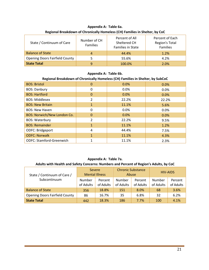| State / Continuum of Care             | Number of CH<br>Families | Percent of All<br>Sheltered CH<br><b>Families in State</b> | Percent of Each<br>Region's Total<br><b>Families</b> |  |
|---------------------------------------|--------------------------|------------------------------------------------------------|------------------------------------------------------|--|
| <b>Balance of State</b>               | $\Delta$                 | 44.4%                                                      | 1.2%                                                 |  |
| <b>Opening Doors Fairfield County</b> |                          | 55.6%                                                      | 4.2%                                                 |  |
| <b>State Total</b>                    | q                        | 100.0%                                                     | 2.0%                                                 |  |

#### **Appendix A: Table 6a. Regional Breakdown of Chronically Homeless (CH) Families in Shelter, by CoC**

#### **Appendix A: Table 6b.**

#### **Regional Breakdown of Chronically Homeless (CH) Families in Shelter, by SubCoC**

| <b>BOS: Bristol</b>                | $\mathbf{0}$ | 0.0%  | 0.0%  |
|------------------------------------|--------------|-------|-------|
| <b>BOS: Danbury</b>                | 0            | 0.0%  | 0.0%  |
| <b>BOS: Hartford</b>               | $\Omega$     | 0.0%  | 0.0%  |
| <b>BOS: Middlesex</b>              | 2            | 22.2% | 22.2% |
| <b>BOS: New Britain</b>            | 1            | 11.1% | 5.6%  |
| <b>BOS: New Haven</b>              | 0            | 0.0%  | 0.0%  |
| <b>BOS: Norwich/New London Co.</b> | $\mathbf{0}$ | 0.0%  | 0.0%  |
| <b>BOS: Waterbury</b>              | 2            | 22.2% | 9.5%  |
| <b>BOS: Remainder</b>              | $\mathbf{1}$ | 11.1% | 1.2%  |
| ODFC: Bridgeport                   | 4            | 44.4% | 7.5%  |
| <b>ODFC: Norwalk</b>               | 1            | 11.1% | 4.3%  |
| <b>ODFC: Stamford-Greenwich</b>    |              | 11.1% | 2.3%  |

#### **Appendix A: Table 7a.**

#### **Adults with Health and Safety Concerns: Numbers and Percent of Region's Adults, by CoC**

| State / Continuum of Care /           |                     | <b>Chronic Substance</b><br>Severe<br><b>Mental Illness</b><br>Abuse |                     |                      | <b>HIV-AIDS</b>     |                      |
|---------------------------------------|---------------------|----------------------------------------------------------------------|---------------------|----------------------|---------------------|----------------------|
| Subcontinuum                          | Number<br>of Adults | Percent<br>of Adults                                                 | Number<br>of Adults | Percent<br>of Adults | Number<br>of Adults | Percent<br>of Adults |
| <b>Balance of State</b>               | 356                 | 18.8%                                                                | 151                 | 8.0%                 | 68                  | 3.6%                 |
| <b>Opening Doors Fairfield County</b> | 86                  | 16.7%                                                                | 35                  | 6.8%                 | 32                  | 6.2%                 |
| <b>State Total</b>                    | 442                 | 18.3%                                                                | 186                 | 7.7%                 | 100                 | 4.1%                 |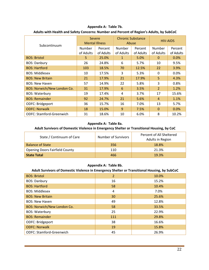**Appendix A: Table 7b.**

| Subcontinuum                       |               | <b>Severe</b><br><b>Mental Illness</b> |           | <b>Chronic Substance</b><br>Abuse | <b>HIV-AIDS</b> |           |
|------------------------------------|---------------|----------------------------------------|-----------|-----------------------------------|-----------------|-----------|
|                                    | <b>Number</b> | Percent                                | Number    | Percent                           | Number          | Percent   |
|                                    | of Adults     | of Adults                              | of Adults | of Adults                         | of Adults       | of Adults |
| <b>BOS: Bristol</b>                | 5.            | 25.0%                                  | 1         | 5.0%                              | $\Omega$        | 0.0%      |
| <b>BOS: Danbury</b>                | 26            | 24.8%                                  | 6         | 5.7%                              | 10              | 9.5%      |
| <b>BOS: Hartford</b>               | 103           | 18.5%                                  | 70        | 12.5%                             | 22              | 3.9%      |
| <b>BOS: Middlesex</b>              | 10            | 17.5%                                  | 3         | 5.3%                              | $\Omega$        | 0.0%      |
| <b>BOS: New Britain</b>            | 21            | 17.9%                                  | 21        | 17.9%                             | 5               | 4.3%      |
| <b>BOS: New Haven</b>              | 57            | 14.9%                                  | 22        | 5.8%                              | 3               | 0.8%      |
| <b>BOS: Norwich/New London Co.</b> | 31            | 17.9%                                  | 6         | 3.5%                              | $\overline{2}$  | 1.2%      |
| <b>BOS: Waterbury</b>              | 19            | 17.4%                                  | 4         | 3.7%                              | 17              | 15.6%     |
| <b>BOS: Remainder</b>              | 92            | 24.7%                                  | 21        | 5.6%                              | $\overline{4}$  | 1.1%      |
| <b>ODFC: Bridgeport</b>            | 36            | 15.7%                                  | 16        | 7.0%                              | 13              | 5.7%      |
| <b>ODFC: Norwalk</b>               | 18            | 15.0%                                  | 9         | 7.5%                              | $\theta$        | 0.0%      |
| <b>ODFC: Stamford-Greenwich</b>    | 31            | 18.6%                                  | 10        | 6.0%                              | 8               | 10.2%     |

**Adults with Health and Safety Concerns: Number and Percent of Region's Adults, by SubCoC**

#### **Appendix A: Table 8a.**

#### **Adult Survivors of Domestic Violence in Emergency Shelter or Transitional Housing, by CoC**

| State / Continuum of Care             | Number of Survivors | Percent of All Sheltered<br>Adults in Region |
|---------------------------------------|---------------------|----------------------------------------------|
| <b>Balance of State</b>               | 356                 | 18.8%                                        |
| <b>Opening Doors Fairfield County</b> | 110                 | 21.3%                                        |
| <b>State Total</b>                    | 466                 | 19.3%                                        |

#### **Appendix A: Table 8b.**

#### **Adult Survivors of Domestic Violence in Emergency Shelter or Transitional Housing, by SubCoC**

| <b>BOS: Bristol</b>                | 2   | 10.0% |
|------------------------------------|-----|-------|
| <b>BOS: Danbury</b>                | 16  | 15.2% |
| <b>BOS: Hartford</b>               | 58  | 10.4% |
| <b>BOS: Middlesex</b>              | 4   | 7.0%  |
| <b>BOS: New Britain</b>            | 30  | 25.6% |
| <b>BOS: New Haven</b>              | 49  | 12.8% |
| <b>BOS: Norwich/New London Co.</b> | 58  | 33.5% |
| <b>BOS: Waterbury</b>              | 25  | 22.9% |
| <b>BOS: Remainder</b>              | 111 | 29.8% |
| ODFC: Bridgeport                   | 38  | 16.6% |
| <b>ODFC: Norwalk</b>               | 19  | 15.8% |
| <b>ODFC: Stamford-Greenwich</b>    | 45  | 26.9% |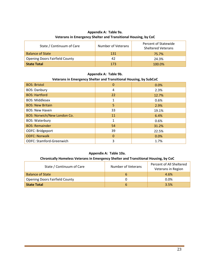#### **Appendix A: Table 9a. Veterans in Emergency Shelter and Transitional Housing, by CoC**

| State / Continuum of Care             | Number of Veterans | Percent of Statewide<br><b>Sheltered Veterans</b> |
|---------------------------------------|--------------------|---------------------------------------------------|
| <b>Balance of State</b>               | 131                | 75.7%                                             |
| <b>Opening Doors Fairfield County</b> | 42                 | 24.3%                                             |
| <b>State Total</b>                    | 173                | $100.0\%$                                         |

#### **Appendix A: Table 9b.**

#### **Veterans in Emergency Shelter and Transitional Housing, by SubCoC**

| <b>BOS: Bristol</b>             | 0            | 0.0%  |
|---------------------------------|--------------|-------|
| <b>BOS: Danbury</b>             | 4            | 2.3%  |
| <b>BOS: Hartford</b>            | 22           | 12.7% |
| <b>BOS: Middlesex</b>           |              | 0.6%  |
| <b>BOS: New Britain</b>         | 5            | 2.9%  |
| <b>BOS: New Haven</b>           | 33           | 19.1% |
| BOS: Norwich/New London Co.     | 11           | 6.4%  |
| <b>BOS: Waterbury</b>           | 1            | 0.6%  |
| <b>BOS: Remainder</b>           | 54           | 31.2% |
| ODFC: Bridgeport                | 39           | 22.5% |
| <b>ODFC: Norwalk</b>            | $\mathbf{0}$ | 0.0%  |
| <b>ODFC: Stamford-Greenwich</b> | 3            | 1.7%  |

#### **Appendix A: Table 10a.**

#### **Chronically Homeless Veterans in Emergency Shelter and Transitional Housing, by CoC**

| State / Continuum of Care             | Number of Veterans | Percent of All Sheltered<br>Veterans in Region |
|---------------------------------------|--------------------|------------------------------------------------|
| <b>Balance of State</b>               | $\mathfrak b$      | 4.6%                                           |
| <b>Opening Doors Fairfield County</b> |                    | $0.0\%$                                        |
| State Total                           | b                  | 3.5%                                           |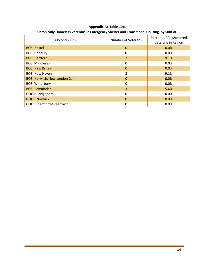| Subcontinuum                       | <b>Number of Veterans</b> | Percent of All Sheltered<br>Veterans in Region |
|------------------------------------|---------------------------|------------------------------------------------|
| <b>BOS: Bristol</b>                | $\Omega$                  | 0.0%                                           |
| <b>BOS: Danbury</b>                | 0                         | 0.0%                                           |
| <b>BOS: Hartford</b>               | $\overline{2}$            | 9.1%                                           |
| <b>BOS: Middlesex</b>              | 0                         | 0.0%                                           |
| <b>BOS: New Britain</b>            | 0                         | 0.0%                                           |
| <b>BOS: New Haven</b>              | 3                         | 9.1%                                           |
| <b>BOS: Norwich/New London Co.</b> | $\Omega$                  | 0.0%                                           |
| <b>BOS: Waterbury</b>              | 0                         | 0.0%                                           |
| <b>BOS: Remainder</b>              | 3                         | 5.6%                                           |
| ODFC: Bridgeport                   | 0                         | 0.0%                                           |
| <b>ODFC: Norwalk</b>               | 0                         | 0.0%                                           |
| <b>ODFC: Stamford-Greenwich</b>    | 0                         | 0.0%                                           |

**Appendix A: Table 10b. Chronically Homeless Veterans in Emergency Shelter and Transitional Housing, by SubCoC**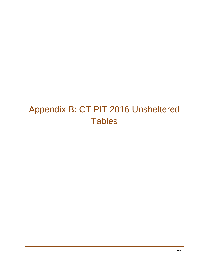## <span id="page-26-0"></span>Appendix B: CT PIT 2016 Unsheltered **Tables**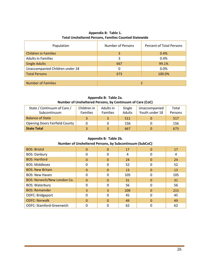| Population                      | <b>Number of Persons</b> | <b>Percent of Total Persons</b> |  |
|---------------------------------|--------------------------|---------------------------------|--|
| <b>Children in Families</b>     | 3                        | 0.4%                            |  |
| <b>Adults in Families</b>       | 3                        | 0.4%                            |  |
| <b>Single Adults</b>            | 667                      | 99.1%                           |  |
| Unaccompanied Children under 18 | 0                        | 0.0%                            |  |
| <b>Total Persons</b>            | 673                      | 100.0%                          |  |
|                                 |                          |                                 |  |
| <b>Number of Families</b>       |                          |                                 |  |

#### **Appendix B: Table 1. Total Unsheltered Persons, Families Counted Statewide**

**Appendix B: Table 2a. Number of Unsheltered Persons, by Continuum of Care (CoC)**

| State / Continuum of Care /           | Children in     | Adults in       | Single | Unaccompanied  | Total   |
|---------------------------------------|-----------------|-----------------|--------|----------------|---------|
| Subcontinuum                          | <b>Families</b> | <b>Families</b> | Adults | Youth under 18 | Persons |
| <b>Balance of State</b>               |                 |                 | 511    |                | 517     |
| <b>Opening Doors Fairfield County</b> |                 |                 | 156    |                | 156     |
| <b>State Total</b>                    |                 |                 | 667    |                | 673     |

**Appendix B: Table 2b.**

| Number of Unsheltered Persons, by Subcontinuum (SubCoC) |  |  |  |  |  |
|---------------------------------------------------------|--|--|--|--|--|
|---------------------------------------------------------|--|--|--|--|--|

| <b>BOS: Bristol</b>                | $\Omega$ | $\Omega$     | 17  | $\Omega$ | 17  |
|------------------------------------|----------|--------------|-----|----------|-----|
| <b>BOS: Danbury</b>                | 0        | 0            | 4   | 0        | 4   |
| <b>BOS: Hartford</b>               | $\Omega$ | $\Omega$     | 24  | 0        | 24  |
| <b>BOS: Middlesex</b>              | 0        | 0            | 52  | 0        | 52  |
| <b>BOS: New Britain</b>            | $\Omega$ | $\Omega$     | 13  | 0        | 13  |
| <b>BOS: New Haven</b>              | $\Omega$ | 0            | 105 | 0        | 105 |
| <b>BOS: Norwich/New London Co.</b> | $\Omega$ | $\Omega$     | 31  | 0        | 31  |
| <b>BOS: Waterbury</b>              | 0        | $\mathbf{0}$ | 56  | 0        | 56  |
| <b>BOS: Remainder</b>              | 3        | 3            | 209 | $\Omega$ | 215 |
| ODFC: Bridgeport                   | 0        | 0            | 45  | 0        | 45  |
| <b>ODFC: Norwalk</b>               | $\Omega$ | $\Omega$     | 49  | 0        | 49  |
| <b>ODFC: Stamford-Greenwich</b>    |          | 0            | 62  |          | 62  |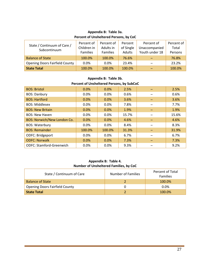#### **Appendix B: Table 3a. Percent of Unsheltered Persons, by CoC**

| State / Continuum of Care /<br>Subcontinuum | Percent of<br>Children in<br><b>Families</b> | Percent of<br>Adults in<br><b>Families</b> | Percent<br>of Single<br>Adults | Percent of<br>Unaccompanied<br>Youth under 18 | Percent of<br>Total<br>Persons |
|---------------------------------------------|----------------------------------------------|--------------------------------------------|--------------------------------|-----------------------------------------------|--------------------------------|
| <b>Balance of State</b>                     | 100.0%                                       | 100.0%                                     | 76.6%                          |                                               | 76.8%                          |
| <b>Opening Doors Fairfield County</b>       | 0.0%                                         | 0.0%                                       | 23.4%                          |                                               | 23.2%                          |
| <b>State Total</b>                          | 100.0%                                       | 100.0%                                     | 100.0%                         |                                               | 100.0%                         |

**Appendix B: Table 3b. Percent of Unsheltered Persons, by SubCoC**

| <b>BOS: Bristol</b>                | 0.0%   | 0.0%    | 2.5%  | 2.5%  |
|------------------------------------|--------|---------|-------|-------|
| <b>BOS: Danbury</b>                | 0.0%   | 0.0%    | 0.6%  | 0.6%  |
| <b>BOS: Hartford</b>               | 0.0%   | 0.0%    | 3.6%  | 3.6%  |
| <b>BOS: Middlesex</b>              | 0.0%   | 0.0%    | 7.8%  | 7.7%  |
| <b>BOS: New Britain</b>            | 0.0%   | 0.0%    | 1.9%  | 1.9%  |
| <b>BOS: New Haven</b>              | 0.0%   | 0.0%    | 15.7% | 15.6% |
| <b>BOS: Norwich/New London Co.</b> | 0.0%   | 0.0%    | 4.6%  | 4.6%  |
| <b>BOS: Waterbury</b>              | 0.0%   | $0.0\%$ | 8.4%  | 8.3%  |
| <b>BOS: Remainder</b>              | 100.0% | 100.0%  | 31.3% | 31.9% |
| ODFC: Bridgeport                   | 0.0%   | 0.0%    | 6.7%  | 6.7%  |
| <b>ODFC: Norwalk</b>               | 0.0%   | 0.0%    | 7.3%  | 7.3%  |
| <b>ODFC: Stamford-Greenwich</b>    | 0.0%   | 0.0%    | 9.3%  | 9.2%  |

#### **Appendix B: Table 4. Number of Unsheltered Families, by CoC**

| State / Continuum of Care             | Number of Families | Percent of Total<br><b>Families</b> |
|---------------------------------------|--------------------|-------------------------------------|
| <b>Balance of State</b>               |                    | 100.0%                              |
| <b>Opening Doors Fairfield County</b> |                    | $0.0\%$                             |
| <b>State Total</b>                    |                    | 100.0%                              |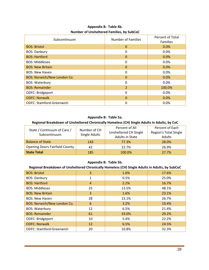| Subcontinuum                       | Number of Families | <b>Percent of Total</b><br><b>Families</b> |
|------------------------------------|--------------------|--------------------------------------------|
| <b>BOS: Bristol</b>                | 0                  | 0.0%                                       |
| <b>BOS: Danbury</b>                | 0                  | 0.0%                                       |
| <b>BOS: Hartford</b>               | 0                  | 0.0%                                       |
| <b>BOS: Middlesex</b>              | 0                  | 0.0%                                       |
| <b>BOS: New Britain</b>            | 0                  | 0.0%                                       |
| <b>BOS: New Haven</b>              | 0                  | 0.0%                                       |
| <b>BOS: Norwich/New London Co.</b> | 0                  | 0.0%                                       |
| <b>BOS: Waterbury</b>              | 0                  | 0.0%                                       |
| <b>BOS: Remainder</b>              | $\overline{2}$     | 100.0%                                     |
| ODFC: Bridgeport                   | 0                  | 0.0%                                       |
| <b>ODFC: Norwalk</b>               | 0                  | 0.0%                                       |
| <b>ODFC: Stamford-Greenwich</b>    |                    | 0.0%                                       |

#### **Appendix B: Table 4b. Number of Unsheltered Families, by SubCoC**

#### **Appendix B: Table 5a.**

#### **Regional Breakdown of Unsheltered Chronically Homeless (CH) Single Adults in Adults, by CoC**

| State / Continuum of Care /           | Number of CH  | Percent of Each<br>Percent of All<br>Region's Total Single<br>Unsheltered CH Single<br>Adults in State<br>Adults |       |  |
|---------------------------------------|---------------|------------------------------------------------------------------------------------------------------------------|-------|--|
| Subcontinuum                          | Single Adults |                                                                                                                  |       |  |
|                                       |               |                                                                                                                  |       |  |
| <b>Balance of State</b>               | 143           | 77.3%                                                                                                            | 28.0% |  |
| <b>Opening Doors Fairfield County</b> | 42            | 22.7%                                                                                                            | 26.9% |  |
| <b>State Total</b>                    | 185           | 100.0%                                                                                                           | 27.7% |  |

#### **Appendix B: Table 5b.**

#### **Regional Breakdown of Unsheltered Chronically Homeless (CH) Single Adults in Adults, by SubCoC**

| <b>BOS: Bristol</b>                | 3              | 1.6%  | 17.6% |
|------------------------------------|----------------|-------|-------|
| <b>BOS: Danbury</b>                | 1              | 0.5%  | 25.0% |
| <b>BOS: Hartford</b>               | $\overline{4}$ | 2.2%  | 16.7% |
| <b>BOS: Middlesex</b>              | 25             | 13.5% | 48.1% |
| <b>BOS: New Britain</b>            | 3              | 1.6%  | 23.1% |
| <b>BOS: New Haven</b>              | 28             | 15.1% | 26.7% |
| <b>BOS: Norwich/New London Co.</b> | 6              | 3.2%  | 19.4% |
| <b>BOS: Waterbury</b>              | 12             | 6.5%  | 21.4% |
| <b>BOS: Remainder</b>              | 61             | 33.0% | 29.2% |
| ODFC: Bridgeport                   | 10             | 5.4%  | 22.2% |
| <b>ODFC: Norwalk</b>               | 12             | 6.5%  | 24.5% |
| <b>ODFC: Stamford-Greenwich</b>    | 20             | 10.8% | 32.3% |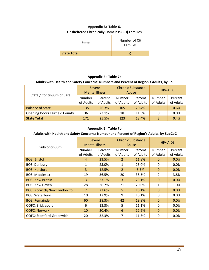#### **Appendix B: Table 6. Unsheltered Chronically Homeless (CH) Families**

| <b>State</b>       | Number of CH<br><b>Families</b> |
|--------------------|---------------------------------|
| <b>State Total</b> |                                 |

#### **Appendix B: Table 7a. Adults with Health and Safety Concerns: Numbers and Percent of Region's Adults, by CoC**

|                                       | Severe<br><b>Mental Illness</b> |                      | <b>Chronic Substance</b> | Abuse                |                     | <b>HIV-AIDS</b>      |
|---------------------------------------|---------------------------------|----------------------|--------------------------|----------------------|---------------------|----------------------|
| State / Continuum of Care             | Number<br>of Adults             | Percent<br>of Adults | Number<br>of Adults      | Percent<br>of Adults | Number<br>of Adults | Percent<br>of Adults |
| <b>Balance of State</b>               | 135                             | 26.3%                | 105                      | 20.4%                | 3                   | 0.6%                 |
| <b>Opening Doors Fairfield County</b> | 36                              | 23.1%                | 18                       | 11.5%                | 0                   | 0.0%                 |
| <b>State Total</b>                    | 171                             | 25.5%                | 123                      | 18.4%                | 3                   | 0.4%                 |

#### **Appendix B: Table 7b.**

#### **Adults with Health and Safety Concerns: Number and Percent of Region's Adults, by SubCoC**

| Subcontinuum                       |                | Severe<br><b>Mental Illness</b> |                | <b>Chronic Substance</b><br>Abuse |                | <b>HIV-AIDS</b> |
|------------------------------------|----------------|---------------------------------|----------------|-----------------------------------|----------------|-----------------|
|                                    | <b>Number</b>  | Percent                         | Number         | Percent                           | Number         | Percent         |
|                                    | of Adults      | of Adults                       | of Adults      | of Adults                         | of Adults      | of Adults       |
| <b>BOS: Bristol</b>                | 4              | 23.5%                           | $\overline{2}$ | 11.8%                             | $\Omega$       | 0.0%            |
| <b>BOS: Danbury</b>                | 1              | 25.0%                           | $\mathbf{1}$   | 25.0%                             | $\Omega$       | 0.0%            |
| <b>BOS: Hartford</b>               | 3              | 12.5%                           | $\overline{2}$ | 8.3%                              | $\mathbf{0}$   | 0.0%            |
| <b>BOS: Middlesex</b>              | 19             | 36.5%                           | 20             | 38.5%                             | $\overline{2}$ | 3.8%            |
| <b>BOS: New Britain</b>            | 3              | 23.1%                           | 3              | 23.1%                             | $\mathbf{0}$   | 0.0%            |
| <b>BOS: New Haven</b>              | 28             | 26.7%                           | 21             | 20.0%                             | 1              | 1.0%            |
| <b>BOS: Norwich/New London Co.</b> | $\overline{7}$ | 22.6%                           | 5              | 16.1%                             | $\Omega$       | 0.0%            |
| <b>BOS: Waterbury</b>              | 10             | 17.9%                           | 9              | 16.1%                             | 0              | 0.0%            |
| <b>BOS: Remainder</b>              | 60             | 28.3%                           | 42             | 19.8%                             | $\Omega$       | 0.0%            |
| ODFC: Bridgeport                   | 6              | 13.3%                           | 5              | 11.1%                             | 0              | 0.0%            |
| <b>ODFC: Norwalk</b>               | 10             | 20.4%                           | 6              | 12.2%                             | $\Omega$       | 0.0%            |
| <b>ODFC: Stamford-Greenwich</b>    | 20             | 32.3%                           | 7              | 11.3%                             | 0              | 0.0%            |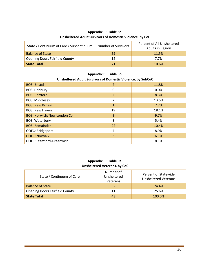| State / Continuum of Care / Subcontinuum | <b>Number of Survivors</b> | Percent of All Unsheltered<br>Adults in Region |
|------------------------------------------|----------------------------|------------------------------------------------|
| <b>Balance of State</b>                  | 59                         | 11.5%                                          |
| <b>Opening Doors Fairfield County</b>    |                            | 7.7%                                           |
| <b>State Total</b>                       |                            | 10.6%                                          |

#### **Appendix B: Table 8a. Unsheltered Adult Survivors of Domestic Violence, by CoC**

#### **Appendix B: Table 8b.**

#### **Unsheltered Adult Survivors of Domestic Violence, by SubCoC**

| <b>BOS: Bristol</b>             | $\overline{2}$ | 11.8% |
|---------------------------------|----------------|-------|
| <b>BOS: Danbury</b>             | 0              | 0.0%  |
| <b>BOS: Hartford</b>            | $\overline{2}$ | 8.3%  |
| <b>BOS: Middlesex</b>           |                | 13.5% |
| <b>BOS: New Britain</b>         | 1              | 7.7%  |
| <b>BOS: New Haven</b>           | 19             | 18.1% |
| BOS: Norwich/New London Co.     | 3              | 9.7%  |
| <b>BOS: Waterbury</b>           | 3              | 5.4%  |
| <b>BOS: Remainder</b>           | 22             | 10.4% |
| ODFC: Bridgeport                | 4              | 8.9%  |
| <b>ODFC: Norwalk</b>            | 3              | 6.1%  |
| <b>ODFC: Stamford-Greenwich</b> | 5              | 8.1%  |

#### **Appendix B: Table 9a. Unsheltered Veterans, by CoC**

| State / Continuum of Care             | Number of<br>Unsheltered<br>Veterans | Percent of Statewide<br>Unsheltered Veterans |
|---------------------------------------|--------------------------------------|----------------------------------------------|
| <b>Balance of State</b>               | 32                                   | 74.4%                                        |
| <b>Opening Doors Fairfield County</b> | 11                                   | 25.6%                                        |
| <b>State Total</b>                    | 43                                   | 100.0%                                       |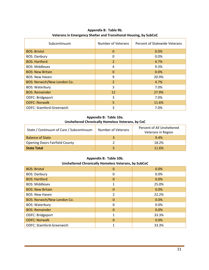| Subcontinuum                       | Number of Veterans | Percent of Statewide Veterans |
|------------------------------------|--------------------|-------------------------------|
| <b>BOS: Bristol</b>                | $\Omega$           | 0.0%                          |
| <b>BOS: Danbury</b>                | 0                  | 0.0%                          |
| <b>BOS: Hartford</b>               | 2                  | 4.7%                          |
| <b>BOS: Middlesex</b>              | 4                  | 9.3%                          |
| <b>BOS: New Britain</b>            | $\Omega$           | 0.0%                          |
| <b>BOS: New Haven</b>              | 9                  | 20.9%                         |
| <b>BOS: Norwich/New London Co.</b> | $\overline{2}$     | 4.7%                          |
| <b>BOS: Waterbury</b>              | 3                  | 7.0%                          |
| <b>BOS: Remainder</b>              | 12                 | 27.9%                         |
| ODFC: Bridgeport                   | 3                  | 7.0%                          |
| <b>ODFC: Norwalk</b>               | 5                  | 11.6%                         |
| <b>ODFC: Stamford-Greenwich</b>    | 3                  | 7.0%                          |

#### **Appendix B: Table 9b. Veterans in Emergency Shelter and Transitional Housing, by SubCoC**

#### **Appendix B: Table 10a. Unsheltered Chronically Homeless Veterans, by CoC**

| State / Continuum of Care / Subcontinuum | Number of Veterans | Percent of All Unsheltered<br>Veterans in Region |
|------------------------------------------|--------------------|--------------------------------------------------|
| <b>Balance of State</b>                  |                    | 9.4%                                             |
| <b>Opening Doors Fairfield County</b>    |                    | 18.2%                                            |
| <b>State Total</b>                       |                    | 11.6%                                            |

#### **Appendix B: Table 10b.**

#### **Unsheltered Chronically Homeless Veterans, by SubCoC**

| <b>BOS: Bristol</b>                | $\Omega$ | 0.0%  |
|------------------------------------|----------|-------|
| <b>BOS: Danbury</b>                | 0        | 0.0%  |
| <b>BOS: Hartford</b>               | 0        | 0.0%  |
| <b>BOS: Middlesex</b>              |          | 25.0% |
| <b>BOS: New Britain</b>            | 0        | 0.0%  |
| <b>BOS: New Haven</b>              | 2        | 22.2% |
| <b>BOS: Norwich/New London Co.</b> | 0        | 0.0%  |
| <b>BOS: Waterbury</b>              | 0        | 0.0%  |
| <b>BOS: Remainder</b>              | $\Omega$ | 0.0%  |
| ODFC: Bridgeport                   |          | 33.3% |
| <b>ODFC: Norwalk</b>               | 0        | 0.0%  |
| <b>ODFC: Stamford-Greenwich</b>    |          | 33.3% |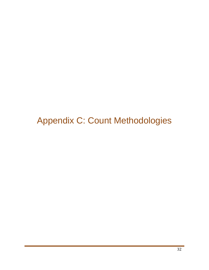<span id="page-33-0"></span>Appendix C: Count Methodologies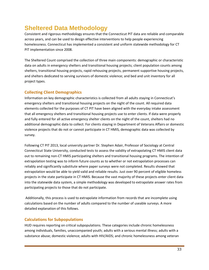## **Sheltered Data Methodology**

Consistent and rigorous methodology ensures that the Connecticut PIT data are reliable and comparable across years, and can be used to design effective interventions to help people experiencing homelessness. Connecticut has implemented a consistent and uniform statewide methodology for CT PIT implementation since 2008.

The Sheltered Count comprised the collection of three main components: demographic or characteristic data on adults in emergency shelters and transitional housing projects; client population counts among shelters, transitional housing projects, rapid rehousing projects, permanent supportive housing projects, and shelters dedicated to serving survivors of domestic violence; and bed and unit inventory for all project types.

#### **Collecting Client Demographics**

Information on key demographic characteristics is collected from all adults staying in Connecticut's emergency shelters and transitional housing projects on the night of the count. All required data elements collected for the purposes of CT PIT have been aligned with the everyday intake assessment that all emergency shelters and transitional housing projects use to enter clients. If data were properly and fully entered for all active emergency shelter clients on the night of the count, shelters had no additional demographic data to collect. For clients staying in Department of Veterans Affairs or domestic violence projects that do not or cannot participate in CT HMIS, demographic data was collected by survey.

Following CT PIT 2013, local university partner Dr. Stephen Adair, Professor of Sociology at Central Connecticut State University, conducted tests to assess the validity of extrapolating CT HMIS client data out to remaining non-CT HMIS participating shelters and transitional housing programs. The intention of extrapolation testing was to inform future counts as to whether or not extrapolation processes can reliably and significantly substitute where paper surveys were not completed. Results showed that extrapolation would be able to yield valid and reliable results. Just over 90 percent of eligible homeless projects in the state participate in CT HMIS. Because the vast majority of these projects enter client data into the statewide data system, a simple methodology was developed to extrapolate answer rates from participating projects to those that do not participate.

Additionally, this process is used to extrapolate information from records that are incomplete using calculations based on the number of adults compared to the number of useable surveys. A more detailed explanation of this follows.

#### **Calculations for Subpopulations**

HUD requires reporting on critical subpopulations. These categories include chronic homelessness among individuals, families, unaccompanied youth; adults with a serious mental illness; adults with a substance abuse; domestic violence; adults with HIV/AIDS; and chronic homelessness among veteran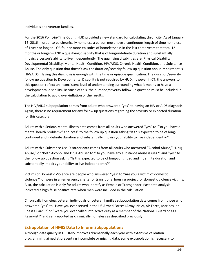individuals and veteran families.

For the 2016 Point-in-Time Count, HUD provided a new standard for calculating chronicity. As of January 15, 2016 in order to be chronically homeless a person must have a continuous length of time homeless of 1 year or longer—OR four or more episodes of homelessness in the last three years that total 12 months or longer—AND a qualifying disability that is of long/indefinite duration and substantially impairs a person's ability to live independently. The qualifying disabilities are: Physical Disability, Developmental Disability, Mental Health Condition, HIV/AIDS, Chronic Health Condition, and Substance Abuse. The only question that doesn't ask the duration/severity follow up question about impairment is HIV/AIDS. Having this diagnosis is enough with the time or episode qualification. The duration/severity follow up question to Developmental Disability is not required by HUD, however in CT, the answers to this question reflect an inconsistent level of understanding surrounding what it means to have a developmental disability. Because of this, the duration/severity follow up question must be included in the calculation to avoid over-inflation of the results.

The HIV/AIDS subpopulation comes from adults who answered "yes" to having an HIV or AIDS diagnosis. Again, there is no requirement for any follow up questions regarding the severity or expected duration for this category.

Adults with a Serious Mental Illness data comes from all adults who answered "yes" to "Do you have a mental health problem?" and "yes" to the follow up question asking "Is this expected to be of longcontinued and indefinite duration and substantially impairs your ability to live independently?"

Adults with a Substance Use Disorder data comes from all adults who answered "Alcohol Abuse," "Drug Abuse," or "Both Alcohol and Drug Abuse" to "Do you have any substance abuse issues?" and "yes" to the follow up question asking "Is this expected to be of long-continued and indefinite duration and substantially impairs your ability to live independently?"

Victims of Domestic Violence are people who answered "yes" to "Are you a victim of domestic violence?" or were in an emergency shelter or transitional housing project for domestic violence victims. Also, the calculation is only for adults who identify as Female or Transgender. Past data analysis indicated a high false positive rate when men were included in the calculation.

Chronically homeless veteran individuals or veteran families subpopulation data comes from those who answered "yes" to "Have you ever served in the US Armed Forces (Army, Navy, Air Force, Marines, or Coast Guard)?" or "Were you ever called into active duty as a member of the National Guard or as a Reservist?" and self-reported as chronically homeless as described previously.

#### **Extrapolation of HMIS Data to Inform Subpopulations**

Although data quality in CT HMIS improves dramatically each year with extensive validation programming aimed at preventing incomplete or missing data, some extrapolation is necessary to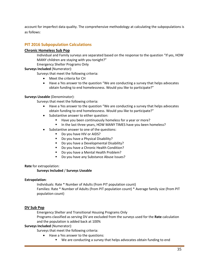account for imperfect data quality. The comprehensive methodology at calculating the subpopulations is as follows:

#### **PIT 2016 Subpopulation Calculations**

#### **Chronic Homeless Sub Pop**

Individual and Family surveys are separated based on the response to the question "If yes, HOW MANY children are staying with you tonight?"

Emergency Shelter Programs Only

#### **Surveys Included** (Numerator):

Surveys that meet the following criteria:

- Meet the criteria for CH
- Have a Yes answer to the question "We are conducting a survey that helps advocates obtain funding to end homelessness. Would you like to participate?"

#### **Surveys Useable** (Denominator):

Surveys that meet the following criteria:

- Have a Yes answer to the question "We are conducting a survey that helps advocates obtain funding to end homelessness. Would you like to participate?"
- Substantive answer to either question:
	- Have you been continuously homeless for a year or more?
	- In the last three years, HOW MANY TIMES have you been homeless?
- Substantive answer to one of the questions:
	- Do you have HIV or AIDS?
	- Do you have a Physical Disability?
	- Do you have a Developmental Disability?
	- Do you have a Chronic Health Condition?
	- Do you have a Mental Health Problem?
	- **Do you have any Substance Abuse Issues?**

#### **Rate** for extrapolation:

#### **Surveys Included** / **Surveys Useable**

#### **Extrapolation**:

Individuals: Rate \* Number of Adults (from PIT population count) Families: Rate \* Number of Adults (from PIT population count) \* Average family size (from PIT population count)

#### **DV Sub Pop**

Emergency Shelter and Transitional Housing Programs Only

Programs classified as serving DV are excluded from the surveys used for the **Rate** calculation and the population is added back at 100%

#### **Surveys Included** (Numerator):

Surveys that meet the following criteria:

- Have a Yes answer to the questions:
	- We are conducting a survey that helps advocates obtain funding to end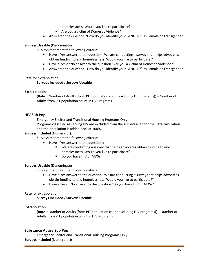homelessness. Would you like to participate?

- Are you a victim of Domestic Violence?
- Answered the question "How do you identify your GENDER?" as Female or Transgender

#### **Surveys Useable** (Denominator):

Surveys that meet the following criteria:

- Have a Yes answer to the question "We are conducting a survey that helps advocates obtain funding to end homelessness. Would you like to participate?"
- Have a Yes or No answer to the question "Are you a victim of Domestic Violence?"
- Answered the question "How do you identify your GENDER?" as Female or Transgender

#### **Rate** for extrapolation:

#### **Surveys Included** / **Surveys Useable**

#### **Extrapolation**:

(**Rate** \* Number of Adults (from PIT population count excluding DV programs)) + Number of Adults from PIT population count in DV Programs

#### **HIV Sub Pop**

Emergency Shelter and Transitional Housing Programs Only

Programs classified as serving HIV are excluded from the surveys used for the **Rate** calculation and the population is added back at 100%

#### **Surveys Included** (Numerator):

Surveys that meet the following criteria:

- Have a Yes answer to the questions:
	- We are conducting a survey that helps advocates obtain funding to end homelessness. Would you like to participate?
	- Do you have HIV or AIDS?

#### **Surveys Useable** (Denominator):

Surveys that meet the following criteria:

- Have a Yes answer to the question "We are conducting a survey that helps advocates obtain funding to end homelessness. Would you like to participate?"
- Have a Yes or No answer to the question "Do you have HIV or AIDS?"

#### **Rate** for extrapolation:

#### **Surveys Included** / **Surveys Useable**

#### **Extrapolation**:

(**Rate** \* Number of Adults (from PIT population count excluding HIV programs)) + Number of Adults from PIT population count in HIV Programs

#### **Substance Abuse Sub Pop**

Emergency Shelter and Transitional Housing Programs Only **Surveys Included** (Numerator):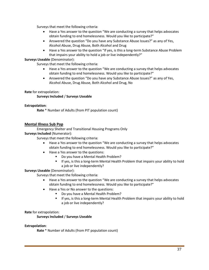Surveys that meet the following criteria:

- Have a Yes answer to the question "We are conducting a survey that helps advocates obtain funding to end homelessness. Would you like to participate?"
- Answered the question "Do you have any Substance Abuse Issues?" as any of Yes, Alcohol Abuse, Drug Abuse, Both Alcohol and Drug
- Have a Yes answer to the question "If yes, is this a long-term Substance Abuse Problem that impairs your ability to hold a job or live independently?"

#### **Surveys Useable** (Denominator):

Surveys that meet the following criteria:

- Have a Yes answer to the question "We are conducting a survey that helps advocates obtain funding to end homelessness. Would you like to participate?"
- Answered the question "Do you have any Substance Abuse Issues?" as any of Yes, Alcohol Abuse, Drug Abuse, Both Alcohol and Drug, No

**Rate** for extrapolation:

#### **Surveys Included** / **Surveys Useable**

#### **Extrapolation**:

**Rate** \* Number of Adults (from PIT population count)

#### **Mental Illness Sub Pop**

Emergency Shelter and Transitional Housing Programs Only

#### **Surveys Included** (Numerator):

Surveys that meet the following criteria:

- Have a Yes answer to the question "We are conducting a survey that helps advocates obtain funding to end homelessness. Would you like to participate?"
- Have a Yes answer to the questions:
	- Do you have a Mental Health Problem?
	- If yes, is this a long-term Mental Health Problem that impairs your ability to hold a job or live independently?

#### **Surveys Useable** (Denominator):

Surveys that meet the following criteria:

- Have a Yes answer to the question "We are conducting a survey that helps advocates obtain funding to end homelessness. Would you like to participate?"
- Have a Yes or No answer to the questions:
	- Do you have a Mental Health Problem?
	- If yes, is this a long-term Mental Health Problem that impairs your ability to hold a job or live independently?

#### **Rate** for extrapolation:

**Surveys Included** / **Surveys Useable**

#### **Extrapolation**:

**Rate** \* Number of Adults (from PIT population count)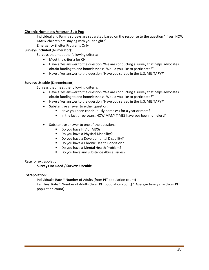#### **Chronic Homeless Veteran Sub Pop**

Individual and Family surveys are separated based on the response to the question "If yes, HOW MANY children are staying with you tonight?"

Emergency Shelter Programs Only

**Surveys Included** (Numerator):

Surveys that meet the following criteria:

- Meet the criteria for CH
- Have a Yes answer to the question "We are conducting a survey that helps advocates obtain funding to end homelessness. Would you like to participate?"
- Have a Yes answer to the question "Have you served in the U.S. MILITARY?"

#### **Surveys Useable** (Denominator):

Surveys that meet the following criteria:

- Have a Yes answer to the question "We are conducting a survey that helps advocates obtain funding to end homelessness. Would you like to participate?"
- Have a Yes answer to the question "Have you served in the U.S. MILITARY?"
- Substantive answer to either question:
	- Have you been continuously homeless for a year or more?
	- In the last three years, HOW MANY TIMES have you been homeless?
- Substantive answer to one of the questions:
	- Do you have HIV or AIDS?
	- Do you have a Physical Disability?
	- Do you have a Developmental Disability?
	- Do you have a Chronic Health Condition?
	- Do you have a Mental Health Problem?
	- Do you have any Substance Abuse Issues?

#### **Rate** for extrapolation:

#### **Surveys Included** / **Surveys Useable**

#### **Extrapolation**:

Individuals: Rate \* Number of Adults (from PIT population count) Families: Rate \* Number of Adults (from PIT population count) \* Average family size (from PIT population count)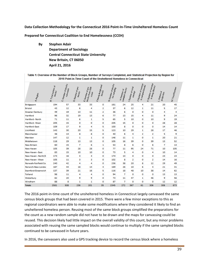**Data Collection Methodology for the Connecticut 2016 Point-In-Time Unsheltered Homeless Count**

**Prepared for Connecticut Coalition to End Homelessness (CCEH)**

 **By Stephen Adair Department of Sociology Central Connecticut State University New Britain, CT 06050 April 21, 2016** 

Table 1: Overview of the Number of Block Groups, Number of Surveys Completed, and Statistical Projection by Region for 2016 Point-in-Time Count of the Unsheltered Homeless in Connecticut

| $\mathcal{A}_{\mathcal{F}_{\mathcal{P},\mathcal{J}(\mathbb{C}\mathbb{J})}}$ | B. Tatal humber of<br>blooks | C. Number of biochs<br><b>Carriegge</b> | D. Mander of yes<br>$\delta k_{\rm O2} k_{\rm P}$ | <b>Mackethom</b> 2015<br>E. Nuruher of yez<br><b>CONDL</b> | F.Mawy de signaged<br>$\delta k \delta \delta$ | <b>B. Number of bischz</b><br><b>kor sampling</b> | <i><del>sampled</del></i> blooks<br>H. Number uf | I. filamber of taxal<br><b>Shakitra</b> | J. Manyber of Eurerys<br><b>In sampled blooks</b> | K. Mandew or Surveys<br><i><b><i>h</i></b> desig Blanks</i> | $L_{53}$ $S_{65}$<br><b>Projecting</b> | M. Tolal Minber |  |
|-----------------------------------------------------------------------------|------------------------------|-----------------------------------------|---------------------------------------------------|------------------------------------------------------------|------------------------------------------------|---------------------------------------------------|--------------------------------------------------|-----------------------------------------|---------------------------------------------------|-------------------------------------------------------------|----------------------------------------|-----------------|--|
| <b>Bridgeport</b>                                                           | 194                          | 57                                      | 33                                                | 33.                                                        | 0                                              | 161                                               | 24                                               | 25                                      | 4                                                 | 21                                                          | 20                                     | 45              |  |
| <b>Bristol</b>                                                              | 43                           | 12                                      | 6                                                 | 4                                                          | 2.                                             | 37                                                | 6                                                | 12                                      | 1                                                 | 11                                                          | 5.                                     | 17              |  |
| <b>Greater Danbury</b>                                                      | 49                           | 19                                      | 13                                                | 11                                                         | 2.                                             | 36                                                | 6                                                | ٥                                       | ٥                                                 | o                                                           | 4                                      | 4               |  |
| Hartford                                                                    | 96                           | 32                                      | 19                                                | 13                                                         | 6                                              | 77                                                | 13                                               | 15                                      | 4                                                 | 11                                                          | 9.                                     | 24              |  |
| Hartford - North                                                            | 71                           | 11                                      | 6                                                 | 1                                                          | 5.                                             | 65                                                | 5                                                | 10                                      | 0                                                 | 10                                                          | 9                                      | 19              |  |
| Hartford - West                                                             | 205                          | 15                                      | ٥                                                 | ٥                                                          | 0                                              | 205                                               | 15                                               | ٥                                       | ٥                                                 | ٥                                                           | 28                                     | 28              |  |
| <b>Hartford-East</b>                                                        | 109                          | 17                                      | 9                                                 | 4                                                          | 5                                              | 100                                               | 8                                                | 0                                       | ٥                                                 | ٥                                                           | 14                                     | 14              |  |
| Litchfield                                                                  | 143                          | 30                                      | 20                                                | 15                                                         | 5.                                             | 123                                               | 10                                               | 29                                      | 1                                                 | 28                                                          | 17                                     | 46              |  |
| Manchester                                                                  | 48                           | 14                                      | 8                                                 | 8                                                          | ٥                                              | 40                                                | 6                                                | 4                                       | 2                                                 | 2                                                           | 5                                      | 9               |  |
| Meridan                                                                     | 147                          | 12                                      | 1                                                 | 1                                                          | o                                              | 146                                               | 11                                               | 1                                       | o                                                 | 1                                                           | 20                                     | 21              |  |
| Middletown                                                                  | 118                          | 29                                      | 13                                                | 13                                                         | 0                                              | 105                                               | 16                                               | 39.                                     | o                                                 | 39                                                          | 13                                     | 52              |  |
| <b>New Britain</b>                                                          | 60                           | 15                                      | 7.                                                | 6                                                          | 1.                                             | 53                                                | 8                                                | 6                                       | 0                                                 | 6                                                           | $\overline{7}$                         | 13              |  |
| <b>New Haven</b>                                                            | 105                          | 39                                      | 28                                                | 28                                                         | o                                              | 77                                                | 11                                               | 95                                      | 24                                                | 71                                                          | 10                                     | 105             |  |
| New Haven - East                                                            | 83                           | 15                                      | 10                                                | 10                                                         | o                                              | 73                                                | 5                                                | 4                                       | ٥                                                 | 4                                                           | 10                                     | 14              |  |
| New Haven - North/S                                                         | 173                          | 16                                      | з                                                 | з                                                          | ٥                                              | 170                                               | 13                                               | 0                                       | ٥                                                 | o                                                           | 23                                     | 23              |  |
| New Haven - West                                                            | 105                          | 11                                      | з                                                 | з                                                          | 0                                              | 102                                               | 8                                                | 2                                       | 0                                                 | 2                                                           | 14                                     | 16              |  |
| Norwalk-Fairfield Co                                                        | 240                          | 42                                      | 4                                                 | 4                                                          | ٥                                              | 236                                               | 38                                               | 20                                      | 8                                                 | 12                                                          | 29                                     | 49              |  |
| Norwich-New Londor                                                          | 187                          | 44                                      | 18                                                | 14                                                         | 4                                              | 169                                               | 26                                               | 10                                      | 6                                                 | 4                                                           | 21                                     | 31              |  |
| Stamford-Greenwich                                                          | 137                          | 39                                      | 21                                                | 16                                                         | 5                                              | 116                                               | 18                                               | 48                                      | 10                                                | 38                                                          | 14                                     | 62              |  |
| Tolland                                                                     | 98                           | 11                                      | 4                                                 | 4                                                          | o                                              | 94                                                | 7.                                               | ٥                                       | ٥                                                 | o                                                           | 13                                     | 13              |  |
| Waterbury                                                                   | 82                           | 20                                      | 9                                                 | 9                                                          | 0                                              | 73                                                | 11                                               | 47                                      | 1                                                 | 46                                                          | 9                                      | 56              |  |
| Windham                                                                     | 88                           | 8                                       | 1                                                 | 1                                                          | 0                                              | 87                                                | 7                                                | ٥                                       | ٥                                                 | o                                                           | 12                                     | 12              |  |
| <b>Totals</b>                                                               | 2581                         | 508                                     | 236                                               | 201                                                        | 35                                             | 2345                                              | 272                                              | 367                                     | 61                                                | 306                                                         | 306                                    | 673             |  |

The 2016 point-in-time count of the unsheltered homeless in Connecticut largely canvassed the same census block groups that had been covered in 2015. There were a few minor exceptions to this as regional coordinators were able to make some modifications where they considered it likely to find an unsheltered homeless person. Reusing most of the same block groups simplified the preparations for the count as a new random sample did not have to be drawn and the maps for canvassing could be reused. This decision likely had little impact on the overall validity of this count, but any minor problems associated with reusing the same sampled blocks would continue to multiply if the same sampled blocks continued to be canvassed in future years.

In 2016, the canvassers also used a GPS tracking device to record the census block where a homeless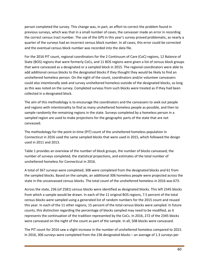person completed the survey. This change was, in part, an effort to correct the problem found in previous surveys, which was that in a small number of cases, the canvasser made an error in recording the correct census tract number. The use of the GPS in this year's survey proved problematic, as nearly a quarter of the surveys had an incorrect census block number. In all cases, this error could be corrected and the eventual census block number was recorded into the data file.

For the 2016 PIT count, regional coordinators for the 2 Continuum of Care (CoC) regions, 12 Balance of State (BOS) regions that were formerly CoCs, and 11 BOS regions were given a list of census block groups that were canvassed as a designated or a sampled block in 2015. The regional coordinators were able to add additional census blocks to the designated blocks if they thought they would be likely to find an unsheltered homeless person. On the night of the count, coordinators and/or volunteer canvassers could also intentionally seek and survey unsheltered homeless outside of the designated blocks, so long as this was noted on the survey. Completed surveys from such blocks were treated as if they had been collected in a designated block.

The aim of this methodology is to encourage the coordinators and the canvassers to seek out people and regions with intentionality to find as many unsheltered homeless people as possible, and then to sample randomly the remaining regions in the state. Surveys completed by a homeless person in a sampled region are used to make projections for the geographic parts of the state that are not canvassed.

The methodology for the point-in-time (PIT) count of the unsheltered homeless population in Connecticut in 2016 used the same sampled blocks that were used in 2015, which followed the design used in 2011 and 2013.

Table 1 provides an overview of the number of block groups, the number of blocks canvassed, the number of surveys completed, the statistical projections, and estimates of the total number of unsheltered homeless for Connecticut in 2016.

A total of 367 surveys were completed; 306 were completed from the designated blocks and 61 from the sampled blocks. Based on the sample, an additional 306 homeless people were projected across the state in the uncanvassed census blocks. The total count of the unsheltered homeless in 2016 was 673.

Across the state, 236 (of 2581) census blocks were identified as designated blocks. This left 2345 blocks from which a sample would be drawn. In each of the 11 original BOS regions, 7.5 percent of the total census blocks were sampled using a generated list of random numbers for the 2015 count and reused this year. In each of the 11 other regions, 15 percent of the total census blocks were sampled. In future counts, this distinction regarding the percentage of blocks sampled may need to be modified, as it represents the continuation of the tradition represented by the CoCs. In 2016, 272 of the 2345 blocks were canvassed on the night of the count as part of the sample. In all, 508 blocks were canvassed.

The PIT count for 2016 saw a slight increase in the number of unsheltered homeless compared to 2015. In 2016, 306 surveys were completed from the 236 designated blocks – an average of 1.3 surveys per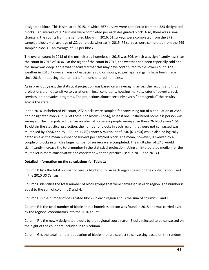designated block. This is similar to 2015, in which 267 surveys were completed from the 223 designated blocks – an average of 1.2 surveys were completed per each designated block. Also, there was a small change in the counts from the sampled blocks. In 2016, 61 surveys were completed from the 272 sampled blocks – an average of .22 per block; whereas in 2015, 72 surveys were completed from the 269 sampled blocks -- an average of .27 per block

The overall count in 2015 of the unsheltered homeless in 2015 was 606, which was significantly less than the count in 2013 of 1036. On the night of the count in 2015, the weather had been especially cold and the snow was deep, and it was speculated that this may have contributed to the lower count. The weather in 2016, however, was not especially cold or snowy, so perhaps real gains have been made since 2013 in reducing the number of the unsheltered homeless.

As in previous years, the statistical projection was based on an averaging across the regions and thus projections are not sensitive to variations in local conditions, housing markets, rates of poverty, social services, or innovative programs. The projections almost certainly overly "homogenize" the results across the state.

In the 2016 unsheltered PIT count, 272 blocks were sampled for canvassing out of a population of 2345 non-designated blocks. In 26 of these 272 blocks (.0956), at least one unsheltered homeless person was surveyed. The interpolated median number of homeless people surveyed in these 26 blocks was 1.54. To obtain the statistical projection, the number of blocks in each region that were not canvassed was multiplied by .0956 and by 1.55 (or .1476) (Note: A multiplier of .240 (61/254) would also be logically defensible as the mean number of surveys per sampled block. The mean, however, is skewed by a couple of blocks in which a large number of surveys were completed. The multiplier of .240 would significantly increase the total number in the statistical projection. Using an interpolated median for the multiplier is more conservative and consistent with the practice used in 2011 and 2013.).

#### **Detailed information on the calculations for Table 1:**

Column B lists the total number of census blocks found in each region based on the configuration used in the 2010 US Census.

Column C identifies the total number of block groups that were canvassed in each region. The number is equal to the sum of columns D and H.

Column D is the number of designated blocks in each region and is the sum of columns E and F.

Column E is the total number of blocks that a homeless person was found in 2015 and was carried over by the regional coordinators into the 2016 count.

Column F is the newly designated blocks by the regional coordinator. Blocks selected to be canvassed on the night of the count are included in this column.

Column G is the total number population of blocks that are subject to canvassing based on the random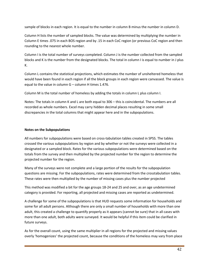sample of blocks in each region. It is equal to the number in column B minus the number in column D.

Column H lists the number of sampled blocks. The value was determined by multiplying the number in Column E times .075 in each BOS region and by .15 in each CoC region (or previous CoC region and then rounding to the nearest whole number.

Column I is the total number of surveys completed. Column J is the number collected from the sampled blocks and K is the number from the designated blocks. The total in column I is equal to number in J plus K.

Column L contains the statistical projections, which estimates the number of unsheltered homeless that would have been found in each region if all the block groups in each region were canvassed. The value is equal to the value in column G – column H times 1.476.

Column M is the total number of homeless by adding the totals in column L plus column I.

Notes: The totals in column K and L are both equal to 306 – this is coincidental. The numbers are all recorded as whole numbers. Excel may carry hidden decimal places resulting in some small discrepancies in the total columns that might appear here and in the subpopulations.

#### **Notes on the Subpopulations**

All numbers for subpopulations were based on cross-tabulation tables created in SPSS. The tables crossed the various subpopulations by region and by whether or not the surveys were collected in a designated or a sampled block. Rates for the various subpopulations were determined based on the totals from the survey and then multiplied by the projected number for the region to determine the projected number for the region.

Many of the surveys were not complete and a large portion of the results for the subpopulation questions are missing. For the subpopulations, rates were determined from the crosstabulation tables. These rates were then multiplied by the number of missing cases plus the number projected

This method was modified a bit for the age groups 18-24 and 25 and over, as an age undetermined category is provided. For reporting, all projected and missing cases are reported as undetermined.

A challenge for some of the subpopulations is that HUD requests some information for households and some for all adult persons. Although there are only a small number of households with more than one adult, this created a challenge to quantify properly as it appears (cannot be sure) that in all cases with more than one adult, both adults were surveyed. It would be helpful if this item could be clarified in future surveys.

As for the overall count, using the same multiplier in all regions for the projected and missing values overly 'homogenizes' the projected count, because the conditions of the homeless may vary from place